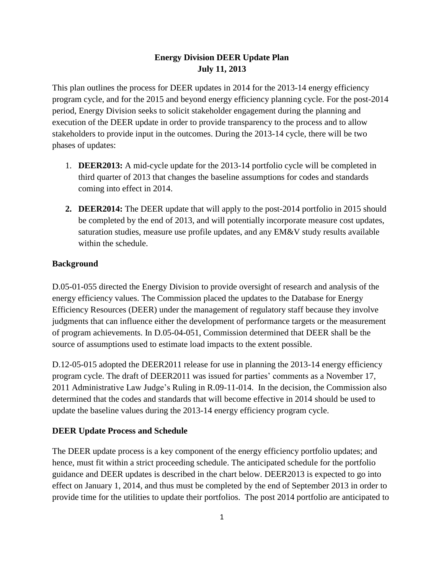# **Energy Division DEER Update Plan July 11, 2013**

This plan outlines the process for DEER updates in 2014 for the 2013-14 energy efficiency program cycle, and for the 2015 and beyond energy efficiency planning cycle. For the post-2014 period, Energy Division seeks to solicit stakeholder engagement during the planning and execution of the DEER update in order to provide transparency to the process and to allow stakeholders to provide input in the outcomes. During the 2013-14 cycle, there will be two phases of updates:

- 1. **DEER2013:** A mid-cycle update for the 2013-14 portfolio cycle will be completed in third quarter of 2013 that changes the baseline assumptions for codes and standards coming into effect in 2014.
- **2. DEER2014:** The DEER update that will apply to the post-2014 portfolio in 2015 should be completed by the end of 2013, and will potentially incorporate measure cost updates, saturation studies, measure use profile updates, and any EM&V study results available within the schedule.

## **Background**

D.05-01-055 directed the Energy Division to provide oversight of research and analysis of the energy efficiency values. The Commission placed the updates to the Database for Energy Efficiency Resources (DEER) under the management of regulatory staff because they involve judgments that can influence either the development of performance targets or the measurement of program achievements. In D.05-04-051, Commission determined that DEER shall be the source of assumptions used to estimate load impacts to the extent possible.

D.12-05-015 adopted the DEER2011 release for use in planning the 2013-14 energy efficiency program cycle. The draft of DEER2011 was issued for parties' comments as a November 17, 2011 Administrative Law Judge's Ruling in R.09-11-014. In the decision, the Commission also determined that the codes and standards that will become effective in 2014 should be used to update the baseline values during the 2013-14 energy efficiency program cycle.

# **DEER Update Process and Schedule**

The DEER update process is a key component of the energy efficiency portfolio updates; and hence, must fit within a strict proceeding schedule. The anticipated schedule for the portfolio guidance and DEER updates is described in the chart below. DEER2013 is expected to go into effect on January 1, 2014, and thus must be completed by the end of September 2013 in order to provide time for the utilities to update their portfolios. The post 2014 portfolio are anticipated to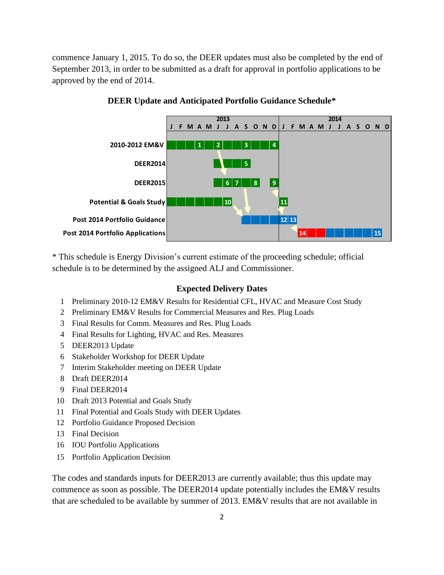commence January 1, 2015. To do so, the DEER updates must also be completed by the end of September 2013, in order to be submitted as a draft for approval in portfolio applications to be approved by the end of 2014.



## **DEER Update and Anticipated Portfolio Guidance Schedule\***

\* This schedule is Energy Division's current estimate of the proceeding schedule; official schedule is to be determined by the assigned ALJ and Commissioner.

#### **Expected Delivery Dates**

- 1 Preliminary 2010-12 EM&V Results for Residential CFL, HVAC and Measure Cost Study
- 2 Preliminary EM&V Results for Commercial Measures and Res. Plug Loads
- 3 Final Results for Comm. Measures and Res. Plug Loads
- 4 Final Results for Lighting, HVAC and Res. Measures
- 5 DEER2013 Update
- 6 Stakeholder Workshop for DEER Update
- 7 Interim Stakeholder meeting on DEER Update
- 8 Draft DEER2014
- 9 Final DEER2014
- 10 Draft 2013 Potential and Goals Study
- 11 Final Potential and Goals Study with DEER Updates
- 12 Portfolio Guidance Proposed Decision
- 13 Final Decision
- 16 IOU Portfolio Applications
- 15 Portfolio Application Decision

The codes and standards inputs for DEER2013 are currently available; thus this update may commence as soon as possible. The DEER2014 update potentially includes the EM&V results that are scheduled to be available by summer of 2013. EM&V results that are not available in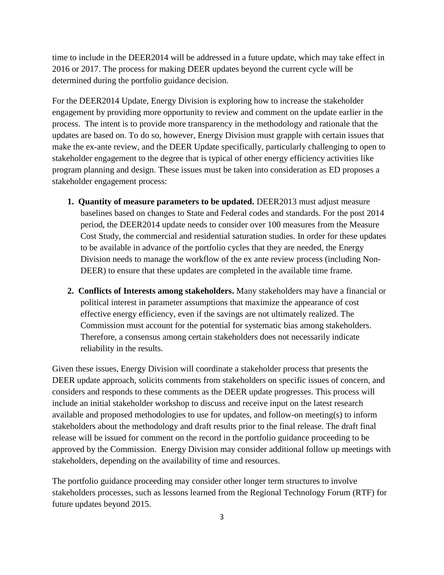time to include in the DEER2014 will be addressed in a future update, which may take effect in 2016 or 2017. The process for making DEER updates beyond the current cycle will be determined during the portfolio guidance decision.

For the DEER2014 Update, Energy Division is exploring how to increase the stakeholder engagement by providing more opportunity to review and comment on the update earlier in the process. The intent is to provide more transparency in the methodology and rationale that the updates are based on. To do so, however, Energy Division must grapple with certain issues that make the ex-ante review, and the DEER Update specifically, particularly challenging to open to stakeholder engagement to the degree that is typical of other energy efficiency activities like program planning and design. These issues must be taken into consideration as ED proposes a stakeholder engagement process:

- **1. Quantity of measure parameters to be updated.** DEER2013 must adjust measure baselines based on changes to State and Federal codes and standards. For the post 2014 period, the DEER2014 update needs to consider over 100 measures from the Measure Cost Study, the commercial and residential saturation studies. In order for these updates to be available in advance of the portfolio cycles that they are needed, the Energy Division needs to manage the workflow of the ex ante review process (including Non-DEER) to ensure that these updates are completed in the available time frame.
- **2. Conflicts of Interests among stakeholders.** Many stakeholders may have a financial or political interest in parameter assumptions that maximize the appearance of cost effective energy efficiency, even if the savings are not ultimately realized. The Commission must account for the potential for systematic bias among stakeholders. Therefore, a consensus among certain stakeholders does not necessarily indicate reliability in the results.

Given these issues, Energy Division will coordinate a stakeholder process that presents the DEER update approach, solicits comments from stakeholders on specific issues of concern, and considers and responds to these comments as the DEER update progresses. This process will include an initial stakeholder workshop to discuss and receive input on the latest research available and proposed methodologies to use for updates, and follow-on meeting(s) to inform stakeholders about the methodology and draft results prior to the final release. The draft final release will be issued for comment on the record in the portfolio guidance proceeding to be approved by the Commission. Energy Division may consider additional follow up meetings with stakeholders, depending on the availability of time and resources.

The portfolio guidance proceeding may consider other longer term structures to involve stakeholders processes, such as lessons learned from the Regional Technology Forum (RTF) for future updates beyond 2015.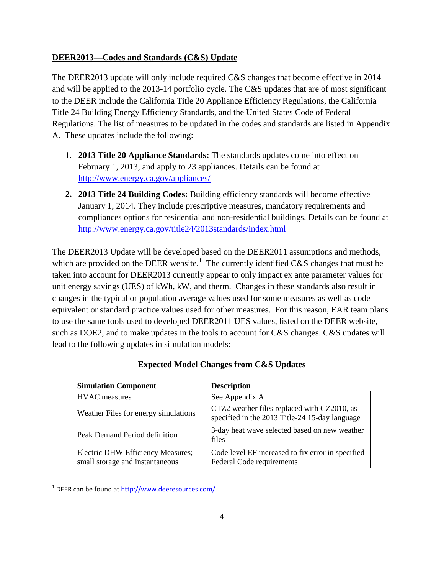# **DEER2013—Codes and Standards (C&S) Update**

The DEER2013 update will only include required C&S changes that become effective in 2014 and will be applied to the 2013-14 portfolio cycle. The C&S updates that are of most significant to the DEER include the California Title 20 Appliance Efficiency Regulations, the California Title 24 Building Energy Efficiency Standards, and the United States Code of Federal Regulations. The list of measures to be updated in the codes and standards are listed in Appendix A. These updates include the following:

- 1. **2013 Title 20 Appliance Standards:** The standards updates come into effect on February 1, 2013, and apply to 23 appliances. Details can be found at <http://www.energy.ca.gov/appliances/>
- **2. 2013 Title 24 Building Codes:** Building efficiency standards will become effective January 1, 2014. They include prescriptive measures, mandatory requirements and compliances options for residential and non-residential buildings. Details can be found at <http://www.energy.ca.gov/title24/2013standards/index.html>

The DEER2013 Update will be developed based on the DEER2011 assumptions and methods, which are provided on the DEER website.<sup>1</sup> The currently identified C&S changes that must be taken into account for DEER2013 currently appear to only impact ex ante parameter values for unit energy savings (UES) of kWh, kW, and therm. Changes in these standards also result in changes in the typical or population average values used for some measures as well as code equivalent or standard practice values used for other measures. For this reason, EAR team plans to use the same tools used to developed DEER2011 UES values, listed on the DEER website, such as DOE2, and to make updates in the tools to account for C&S changes. C&S updates will lead to the following updates in simulation models:

| <b>Simulation Component</b>                                          | <b>Description</b>                                                                            |
|----------------------------------------------------------------------|-----------------------------------------------------------------------------------------------|
| <b>HVAC</b> measures                                                 | See Appendix A                                                                                |
| Weather Files for energy simulations                                 | CTZ2 weather files replaced with CZ2010, as<br>specified in the 2013 Title-24 15-day language |
| Peak Demand Period definition                                        | 3-day heat wave selected based on new weather<br>files                                        |
| Electric DHW Efficiency Measures;<br>small storage and instantaneous | Code level EF increased to fix error in specified<br>Federal Code requirements                |

#### **Expected Model Changes from C&S Updates**

 $\overline{\phantom{a}}$ 

<sup>&</sup>lt;sup>1</sup> DEER can be found at **http://www.deeresources.com/**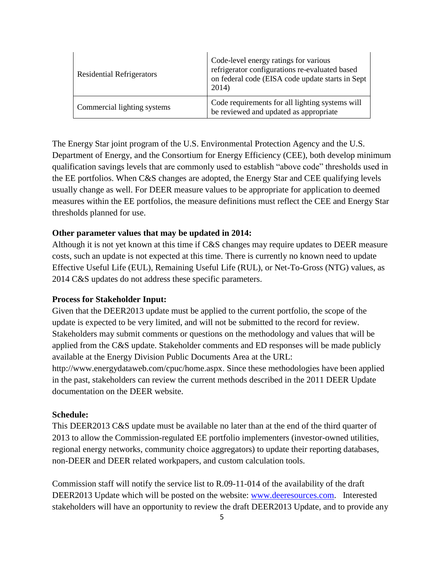| <b>Residential Refrigerators</b> | Code-level energy ratings for various<br>refrigerator configurations re-evaluated based<br>on federal code (EISA code update starts in Sept<br>2014) |
|----------------------------------|------------------------------------------------------------------------------------------------------------------------------------------------------|
| Commercial lighting systems      | Code requirements for all lighting systems will<br>be reviewed and updated as appropriate                                                            |

The Energy Star joint program of the U.S. Environmental Protection Agency and the U.S. Department of Energy, and the Consortium for Energy Efficiency (CEE), both develop minimum qualification savings levels that are commonly used to establish "above code" thresholds used in the EE portfolios. When C&S changes are adopted, the Energy Star and CEE qualifying levels usually change as well. For DEER measure values to be appropriate for application to deemed measures within the EE portfolios, the measure definitions must reflect the CEE and Energy Star thresholds planned for use.

## **Other parameter values that may be updated in 2014:**

Although it is not yet known at this time if C&S changes may require updates to DEER measure costs, such an update is not expected at this time. There is currently no known need to update Effective Useful Life (EUL), Remaining Useful Life (RUL), or Net-To-Gross (NTG) values, as 2014 C&S updates do not address these specific parameters.

#### **Process for Stakeholder Input:**

Given that the DEER2013 update must be applied to the current portfolio, the scope of the update is expected to be very limited, and will not be submitted to the record for review. Stakeholders may submit comments or questions on the methodology and values that will be applied from the C&S update. Stakeholder comments and ED responses will be made publicly available at the Energy Division Public Documents Area at the URL: http://www.energydataweb.com/cpuc/home.aspx. Since these methodologies have been applied in the past, stakeholders can review the current methods described in the 2011 DEER Update

documentation on the DEER website.

#### **Schedule:**

This DEER2013 C&S update must be available no later than at the end of the third quarter of 2013 to allow the Commission-regulated EE portfolio implementers (investor-owned utilities, regional energy networks, community choice aggregators) to update their reporting databases, non-DEER and DEER related workpapers, and custom calculation tools.

Commission staff will notify the service list to R.09-11-014 of the availability of the draft DEER2013 Update which will be posted on the website: [www.deeresources.com.](http://www.deeresources.com/) Interested stakeholders will have an opportunity to review the draft DEER2013 Update, and to provide any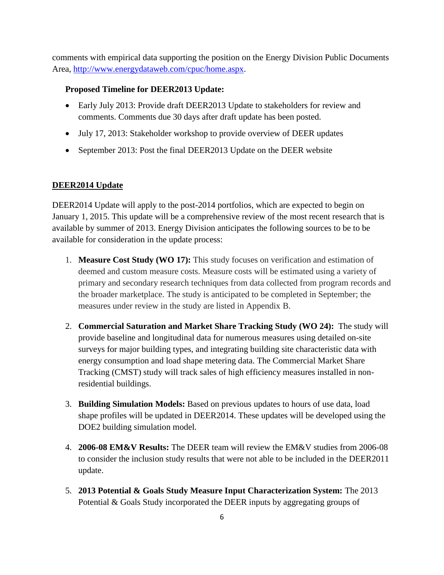comments with empirical data supporting the position on the Energy Division Public Documents Area, [http://www.energydataweb.com/cpuc/home.aspx.](http://www.energydataweb.com/cpuc/home.aspx)

#### **Proposed Timeline for DEER2013 Update:**

- Early July 2013: Provide draft DEER2013 Update to stakeholders for review and comments. Comments due 30 days after draft update has been posted.
- July 17, 2013: Stakeholder workshop to provide overview of DEER updates
- September 2013: Post the final DEER2013 Update on the DEER website

## **DEER2014 Update**

DEER2014 Update will apply to the post-2014 portfolios, which are expected to begin on January 1, 2015. This update will be a comprehensive review of the most recent research that is available by summer of 2013. Energy Division anticipates the following sources to be to be available for consideration in the update process:

- 1. **Measure Cost Study (WO 17):** This study focuses on verification and estimation of deemed and custom measure costs. Measure costs will be estimated using a variety of primary and secondary research techniques from data collected from program records and the broader marketplace. The study is anticipated to be completed in September; the measures under review in the study are listed in Appendix B.
- 2. **Commercial Saturation and Market Share Tracking Study (WO 24):** The study will provide baseline and longitudinal data for numerous measures using detailed on-site surveys for major building types, and integrating building site characteristic data with energy consumption and load shape metering data. The Commercial Market Share Tracking (CMST) study will track sales of high efficiency measures installed in nonresidential buildings.
- 3. **Building Simulation Models:** Based on previous updates to hours of use data, load shape profiles will be updated in DEER2014. These updates will be developed using the DOE2 building simulation model.
- 4. **2006-08 EM&V Results:** The DEER team will review the EM&V studies from 2006-08 to consider the inclusion study results that were not able to be included in the DEER2011 update.
- 5. **2013 Potential & Goals Study Measure Input Characterization System:** The 2013 Potential & Goals Study incorporated the DEER inputs by aggregating groups of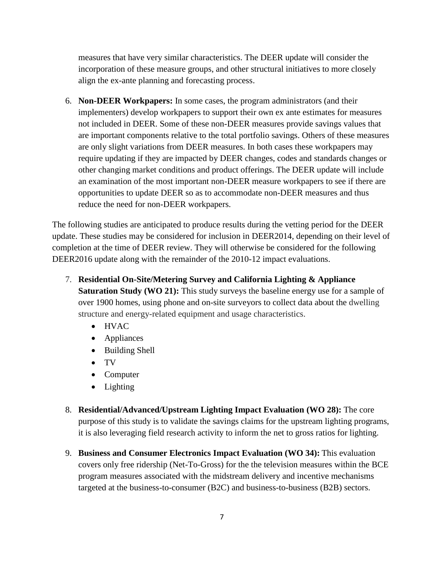measures that have very similar characteristics. The DEER update will consider the incorporation of these measure groups, and other structural initiatives to more closely align the ex-ante planning and forecasting process.

6. **Non-DEER Workpapers:** In some cases, the program administrators (and their implementers) develop workpapers to support their own ex ante estimates for measures not included in DEER. Some of these non-DEER measures provide savings values that are important components relative to the total portfolio savings. Others of these measures are only slight variations from DEER measures. In both cases these workpapers may require updating if they are impacted by DEER changes, codes and standards changes or other changing market conditions and product offerings. The DEER update will include an examination of the most important non-DEER measure workpapers to see if there are opportunities to update DEER so as to accommodate non-DEER measures and thus reduce the need for non-DEER workpapers.

The following studies are anticipated to produce results during the vetting period for the DEER update. These studies may be considered for inclusion in DEER2014, depending on their level of completion at the time of DEER review. They will otherwise be considered for the following DEER2016 update along with the remainder of the 2010-12 impact evaluations.

- 7. **Residential On-Site/Metering Survey and California Lighting & Appliance Saturation Study (WO 21):** This study surveys the baseline energy use for a sample of over 1900 homes, using phone and on-site surveyors to collect data about the dwelling structure and energy-related equipment and usage characteristics.
	- HVAC
	- Appliances
	- Building Shell
	- TV
	- Computer
	- Lighting
- 8. **Residential/Advanced/Upstream Lighting Impact Evaluation (WO 28):** The core purpose of this study is to validate the savings claims for the upstream lighting programs, it is also leveraging field research activity to inform the net to gross ratios for lighting.
- 9. **Business and Consumer Electronics Impact Evaluation (WO 34):** This evaluation covers only free ridership (Net-To-Gross) for the the television measures within the BCE program measures associated with the midstream delivery and incentive mechanisms targeted at the business-to-consumer (B2C) and business-to-business (B2B) sectors.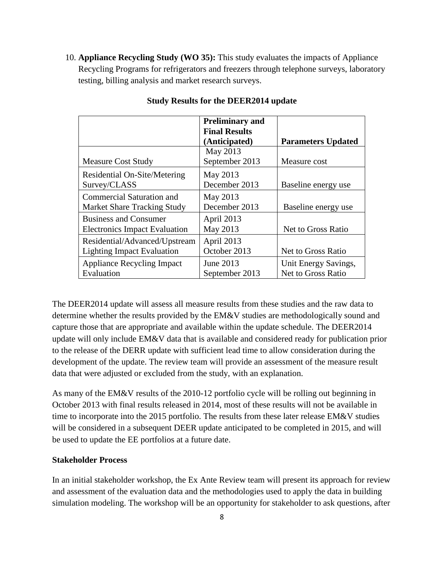10. **Appliance Recycling Study (WO 35):** This study evaluates the impacts of Appliance Recycling Programs for refrigerators and freezers through telephone surveys, laboratory testing, billing analysis and market research surveys.

|                                      | <b>Preliminary and</b> |                           |
|--------------------------------------|------------------------|---------------------------|
|                                      | <b>Final Results</b>   |                           |
|                                      | (Anticipated)          | <b>Parameters Updated</b> |
|                                      | May 2013               |                           |
| <b>Measure Cost Study</b>            | September 2013         | Measure cost              |
| Residential On-Site/Metering         | May 2013               |                           |
| Survey/CLASS                         | December 2013          | Baseline energy use       |
| <b>Commercial Saturation and</b>     | May 2013               |                           |
| <b>Market Share Tracking Study</b>   | December 2013          | Baseline energy use       |
| <b>Business and Consumer</b>         | April 2013             |                           |
| <b>Electronics Impact Evaluation</b> | May 2013               | Net to Gross Ratio        |
| Residential/Advanced/Upstream        | April 2013             |                           |
| <b>Lighting Impact Evaluation</b>    | October 2013           | Net to Gross Ratio        |
| <b>Appliance Recycling Impact</b>    | June 2013              | Unit Energy Savings,      |
| Evaluation                           | September 2013         | Net to Gross Ratio        |

#### **Study Results for the DEER2014 update**

The DEER2014 update will assess all measure results from these studies and the raw data to determine whether the results provided by the EM&V studies are methodologically sound and capture those that are appropriate and available within the update schedule. The DEER2014 update will only include EM&V data that is available and considered ready for publication prior to the release of the DERR update with sufficient lead time to allow consideration during the development of the update. The review team will provide an assessment of the measure result data that were adjusted or excluded from the study, with an explanation.

As many of the EM&V results of the 2010-12 portfolio cycle will be rolling out beginning in October 2013 with final results released in 2014, most of these results will not be available in time to incorporate into the 2015 portfolio. The results from these later release EM&V studies will be considered in a subsequent DEER update anticipated to be completed in 2015, and will be used to update the EE portfolios at a future date.

## **Stakeholder Process**

In an initial stakeholder workshop, the Ex Ante Review team will present its approach for review and assessment of the evaluation data and the methodologies used to apply the data in building simulation modeling. The workshop will be an opportunity for stakeholder to ask questions, after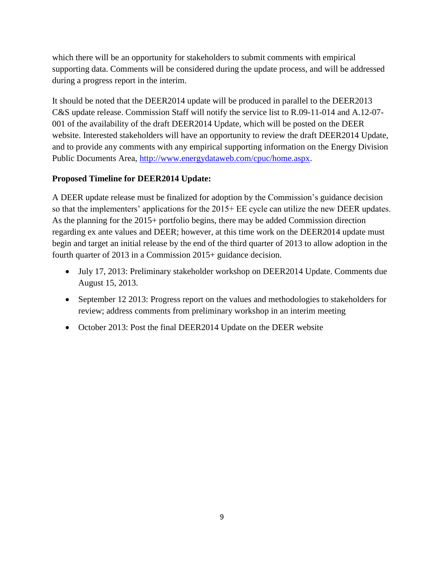which there will be an opportunity for stakeholders to submit comments with empirical supporting data. Comments will be considered during the update process, and will be addressed during a progress report in the interim.

It should be noted that the DEER2014 update will be produced in parallel to the DEER2013 C&S update release. Commission Staff will notify the service list to R.09-11-014 and A.12-07- 001 of the availability of the draft DEER2014 Update, which will be posted on the DEER website. Interested stakeholders will have an opportunity to review the draft DEER2014 Update, and to provide any comments with any empirical supporting information on the Energy Division Public Documents Area, [http://www.energydataweb.com/cpuc/home.aspx.](http://www.energydataweb.com/cpuc/home.aspx)

# **Proposed Timeline for DEER2014 Update:**

A DEER update release must be finalized for adoption by the Commission's guidance decision so that the implementers' applications for the 2015+ EE cycle can utilize the new DEER updates. As the planning for the 2015+ portfolio begins, there may be added Commission direction regarding ex ante values and DEER; however, at this time work on the DEER2014 update must begin and target an initial release by the end of the third quarter of 2013 to allow adoption in the fourth quarter of 2013 in a Commission 2015+ guidance decision.

- July 17, 2013: Preliminary stakeholder workshop on DEER2014 Update. Comments due August 15, 2013.
- September 12 2013: Progress report on the values and methodologies to stakeholders for review; address comments from preliminary workshop in an interim meeting
- October 2013: Post the final DEER2014 Update on the DEER website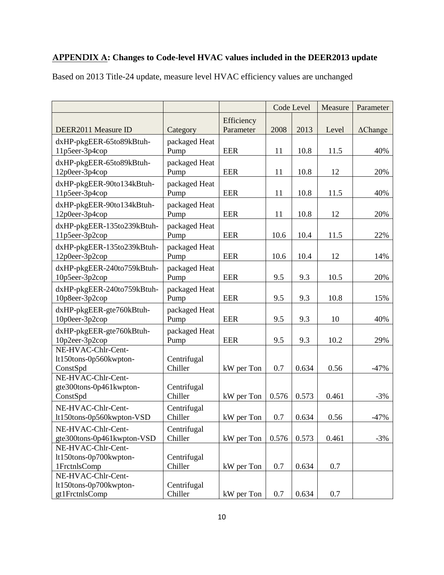# **APPENDIX A: Changes to Code-level HVAC values included in the DEER2013 update**

Based on 2013 Title-24 update, measure level HVAC efficiency values are unchanged

|                                                                |                        |                         |       | Code Level | Measure | Parameter          |
|----------------------------------------------------------------|------------------------|-------------------------|-------|------------|---------|--------------------|
| DEER2011 Measure ID                                            | Category               | Efficiency<br>Parameter | 2008  | 2013       | Level   | $\triangle$ Change |
| dxHP-pkgEER-65to89kBtuh-<br>11p5eer-3p4cop                     | packaged Heat<br>Pump  | <b>EER</b>              | 11    | 10.8       | 11.5    | 40%                |
| dxHP-pkgEER-65to89kBtuh-<br>12p0eer-3p4cop                     | packaged Heat<br>Pump  | <b>EER</b>              | 11    | 10.8       | 12      | 20%                |
| dxHP-pkgEER-90to134kBtuh-<br>11p5eer-3p4cop                    | packaged Heat<br>Pump  | <b>EER</b>              | 11    | 10.8       | 11.5    | 40%                |
| dxHP-pkgEER-90to134kBtuh-<br>12p0eer-3p4cop                    | packaged Heat<br>Pump  | <b>EER</b>              | 11    | 10.8       | 12      | 20%                |
| dxHP-pkgEER-135to239kBtuh-<br>11p5eer-3p2cop                   | packaged Heat<br>Pump  | EER                     | 10.6  | 10.4       | 11.5    | 22%                |
| dxHP-pkgEER-135to239kBtuh-<br>12p0eer-3p2cop                   | packaged Heat<br>Pump  | <b>EER</b>              | 10.6  | 10.4       | 12      | 14%                |
| dxHP-pkgEER-240to759kBtuh-<br>10p5eer-3p2cop                   | packaged Heat<br>Pump  | <b>EER</b>              | 9.5   | 9.3        | 10.5    | 20%                |
| dxHP-pkgEER-240to759kBtuh-<br>10p8eer-3p2cop                   | packaged Heat<br>Pump  | <b>EER</b>              | 9.5   | 9.3        | 10.8    | 15%                |
| dxHP-pkgEER-gte760kBtuh-<br>10p0eer-3p2cop                     | packaged Heat<br>Pump  | <b>EER</b>              | 9.5   | 9.3        | 10      | 40%                |
| dxHP-pkgEER-gte760kBtuh-<br>10p2eer-3p2cop                     | packaged Heat<br>Pump  | <b>EER</b>              | 9.5   | 9.3        | 10.2    | 29%                |
| NE-HVAC-Chlr-Cent-<br>lt150tons-0p560kwpton-<br>ConstSpd       | Centrifugal<br>Chiller | kW per Ton              | 0.7   | 0.634      | 0.56    | $-47%$             |
| NE-HVAC-Chlr-Cent-<br>gte300tons-0p461kwpton-<br>ConstSpd      | Centrifugal<br>Chiller | kW per Ton              | 0.576 | 0.573      | 0.461   | $-3%$              |
| NE-HVAC-Chlr-Cent-<br>lt150tons-0p560kwpton-VSD                | Centrifugal<br>Chiller | kW per Ton              | 0.7   | 0.634      | 0.56    | $-47%$             |
| NE-HVAC-Chlr-Cent-<br>gte300tons-0p461kwpton-VSD               | Centrifugal<br>Chiller | kW per Ton              | 0.576 | 0.573      | 0.461   | $-3%$              |
| NE-HVAC-Chlr-Cent-<br>lt150tons-0p700kwpton-<br>1FrctnlsComp   | Centrifugal<br>Chiller | kW per Ton              | 0.7   | 0.634      | 0.7     |                    |
| NE-HVAC-Chlr-Cent-<br>lt150tons-0p700kwpton-<br>gt1FrctnlsComp | Centrifugal<br>Chiller | kW per Ton              | 0.7   | 0.634      | 0.7     |                    |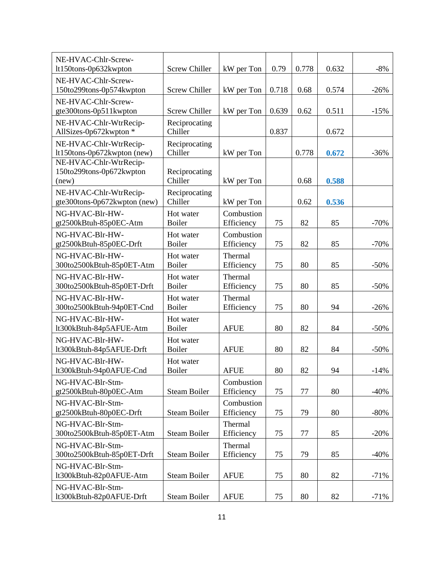| NE-HVAC-Chlr-Screw-<br>lt150tons-0p632kwpton           | <b>Screw Chiller</b>       | kW per Ton                | 0.79  | 0.778 | 0.632 | $-8%$  |
|--------------------------------------------------------|----------------------------|---------------------------|-------|-------|-------|--------|
| NE-HVAC-Chlr-Screw-<br>150to299tons-0p574kwpton        | <b>Screw Chiller</b>       | kW per Ton                | 0.718 | 0.68  | 0.574 | $-26%$ |
| NE-HVAC-Chlr-Screw-<br>gte300tons-0p511kwpton          | <b>Screw Chiller</b>       | kW per Ton                | 0.639 | 0.62  | 0.511 | $-15%$ |
| NE-HVAC-Chlr-WtrRecip-                                 | Reciprocating              |                           | 0.837 |       |       |        |
| AllSizes-0p672kwpton *<br>NE-HVAC-Chlr-WtrRecip-       | Chiller<br>Reciprocating   |                           |       |       | 0.672 |        |
| lt150tons-0p672kwpton (new)<br>NE-HVAC-Chlr-WtrRecip-  | Chiller                    | kW per Ton                |       | 0.778 | 0.672 | $-36%$ |
| 150to299tons-0p672kwpton<br>(new)                      | Reciprocating<br>Chiller   | kW per Ton                |       | 0.68  | 0.588 |        |
| NE-HVAC-Chlr-WtrRecip-<br>gte300tons-0p672kwpton (new) | Reciprocating<br>Chiller   | kW per Ton                |       | 0.62  | 0.536 |        |
| NG-HVAC-Blr-HW-<br>gt2500kBtuh-85p0EC-Atm              | Hot water<br><b>Boiler</b> | Combustion<br>Efficiency  | 75    | 82    | 85    | $-70%$ |
| NG-HVAC-Blr-HW-<br>gt2500kBtuh-85p0EC-Drft             | Hot water<br><b>Boiler</b> | Combustion<br>Efficiency  | 75    | 82    | 85    | $-70%$ |
| NG-HVAC-Blr-HW-<br>300to2500kBtuh-85p0ET-Atm           | Hot water<br><b>Boiler</b> | Thermal<br>Efficiency     | 75    | 80    | 85    | $-50%$ |
| NG-HVAC-Blr-HW-<br>300to2500kBtuh-85p0ET-Drft          | Hot water<br><b>Boiler</b> | Thermal<br>Efficiency     | 75    | 80    | 85    | $-50%$ |
| NG-HVAC-Blr-HW-<br>300to2500kBtuh-94p0ET-Cnd           | Hot water<br><b>Boiler</b> | Thermal<br>Efficiency     | 75    | 80    | 94    | $-26%$ |
| NG-HVAC-Blr-HW-<br>lt300kBtuh-84p5AFUE-Atm             | Hot water<br><b>Boiler</b> | <b>AFUE</b>               | 80    | 82    | 84    | $-50%$ |
| NG-HVAC-Blr-HW-                                        | Hot water                  |                           |       |       |       |        |
| lt300kBtuh-84p5AFUE-Drft<br>NG-HVAC-Blr-HW-            | <b>Boiler</b><br>Hot water | <b>AFUE</b>               | 80    | 82    | 84    | $-50%$ |
| lt300kBtuh-94p0AFUE-Cnd<br>NG-HVAC-Blr-Stm-            | <b>Boiler</b>              | <b>AFUE</b><br>Combustion | 80    | 82    | 94    | $-14%$ |
| gt2500kBtuh-80p0EC-Atm                                 | <b>Steam Boiler</b>        | Efficiency                | 75    | 77    | 80    | $-40%$ |
| NG-HVAC-Blr-Stm-<br>gt2500kBtuh-80p0EC-Drft            | <b>Steam Boiler</b>        | Combustion<br>Efficiency  | 75    | 79    | 80    | $-80%$ |
| NG-HVAC-Blr-Stm-<br>300to2500kBtuh-85p0ET-Atm          | <b>Steam Boiler</b>        | Thermal<br>Efficiency     | 75    | 77    | 85    | $-20%$ |
| NG-HVAC-Blr-Stm-<br>300to2500kBtuh-85p0ET-Drft         | <b>Steam Boiler</b>        | Thermal<br>Efficiency     | 75    | 79    | 85    | $-40%$ |
| NG-HVAC-Blr-Stm-<br>lt300kBtuh-82p0AFUE-Atm            | <b>Steam Boiler</b>        | <b>AFUE</b>               | 75    | 80    | 82    | $-71%$ |
| NG-HVAC-Blr-Stm-<br>lt300kBtuh-82p0AFUE-Drft           | <b>Steam Boiler</b>        | <b>AFUE</b>               | 75    | 80    | 82    | $-71%$ |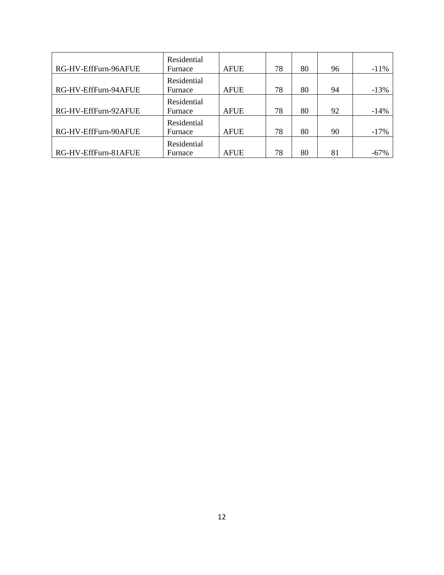| RG-HV-EffFurn-96AFUE | Residential<br>Furnace | <b>AFUE</b> | 78 | 80 | 96 | $-11%$ |
|----------------------|------------------------|-------------|----|----|----|--------|
| RG-HV-EffFurn-94AFUE | Residential<br>Furnace | <b>AFUE</b> | 78 | 80 | 94 | $-13%$ |
| RG-HV-EffFurn-92AFUE | Residential<br>Furnace | <b>AFUE</b> | 78 | 80 | 92 | $-14%$ |
| RG-HV-EffFurn-90AFUE | Residential<br>Furnace | <b>AFUE</b> | 78 | 80 | 90 | $-17%$ |
| RG-HV-EffFurn-81AFUE | Residential<br>Furnace | <b>AFUE</b> | 78 | 80 | 81 | $-67%$ |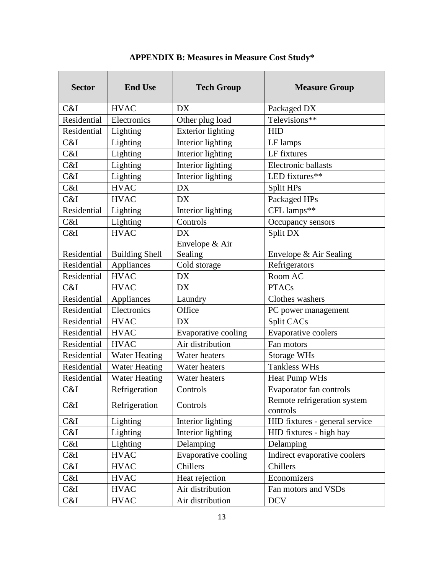| <b>Sector</b> | <b>End Use</b>        | <b>Tech Group</b>         | <b>Measure Group</b>                    |
|---------------|-----------------------|---------------------------|-----------------------------------------|
| C&I           | <b>HVAC</b>           | <b>DX</b>                 | Packaged DX                             |
| Residential   | Electronics           | Other plug load           | Televisions**                           |
| Residential   | Lighting              | <b>Exterior lighting</b>  | <b>HID</b>                              |
| C&I           | Lighting              | Interior lighting         | LF lamps                                |
| C&I           | Lighting              | Interior lighting         | LF fixtures                             |
| C&I           | Lighting              | Interior lighting         | Electronic ballasts                     |
| C&I           | Lighting              | Interior lighting         | LED fixtures**                          |
| C&I           | <b>HVAC</b>           | <b>DX</b>                 | Split HPs                               |
| C&I           | <b>HVAC</b>           | <b>DX</b>                 | Packaged HPs                            |
| Residential   | Lighting              | Interior lighting         | CFL lamps**                             |
| C&I           | Lighting              | Controls                  | Occupancy sensors                       |
| C&I           | <b>HVAC</b>           | <b>DX</b>                 | Split DX                                |
| Residential   | <b>Building Shell</b> | Envelope & Air<br>Sealing | Envelope & Air Sealing                  |
| Residential   | Appliances            | Cold storage              | Refrigerators                           |
| Residential   | <b>HVAC</b>           | <b>DX</b>                 | Room AC                                 |
| C&I           | <b>HVAC</b>           | <b>DX</b>                 | <b>PTACs</b>                            |
| Residential   | Appliances            | Laundry                   | Clothes washers                         |
| Residential   | Electronics           | Office                    | PC power management                     |
| Residential   | <b>HVAC</b>           | <b>DX</b>                 | Split CACs                              |
| Residential   | <b>HVAC</b>           | Evaporative cooling       | Evaporative coolers                     |
| Residential   | <b>HVAC</b>           | Air distribution          | Fan motors                              |
| Residential   | <b>Water Heating</b>  | Water heaters             | <b>Storage WHs</b>                      |
| Residential   | <b>Water Heating</b>  | Water heaters             | <b>Tankless WHs</b>                     |
| Residential   | <b>Water Heating</b>  | Water heaters             | Heat Pump WHs                           |
| C&I           | Refrigeration         | Controls                  | Evaporator fan controls                 |
| C&I           | Refrigeration         | Controls                  | Remote refrigeration system<br>controls |
| C&I           | Lighting              | Interior lighting         | HID fixtures - general service          |
| C&I           | Lighting              | Interior lighting         | HID fixtures - high bay                 |
| C&I           | Lighting              | Delamping                 | Delamping                               |
| C&I           | <b>HVAC</b>           | Evaporative cooling       | Indirect evaporative coolers            |
| C&I           | <b>HVAC</b>           | Chillers                  | Chillers                                |
| C&I           | <b>HVAC</b>           | Heat rejection            | Economizers                             |
| C&I           | <b>HVAC</b>           | Air distribution          | Fan motors and VSDs                     |
| C&I           | <b>HVAC</b>           | Air distribution          | <b>DCV</b>                              |

**APPENDIX B: Measures in Measure Cost Study\***